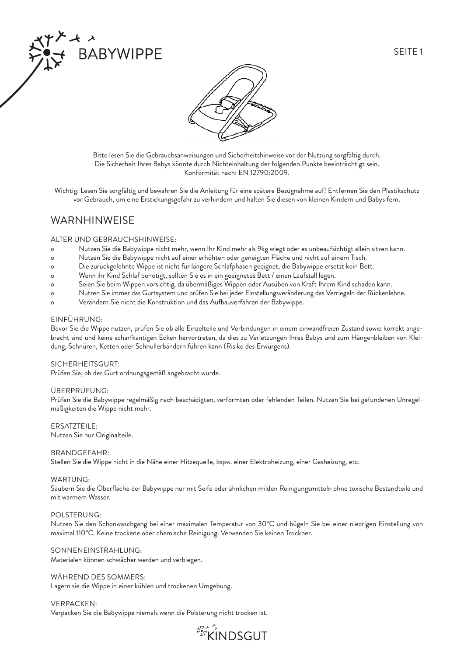



Bitte lesen Sie die Gebrauchsanweisungen und Sicherheitshinweise vor der Nutzung sorgfältig durch. Die Sicherheit Ihres Babys könnte durch Nichteinhaltung der folgenden Punkte beeinträchtigt sein. Konformität nach: EN 12790:2009.

Wichtig: Lesen Sie sorgfältig und bewahren Sie die Anleitung für eine spätere Bezugnahme auf! Entfernen Sie den Plastikschutz vor Gebrauch, um eine Erstickungsgefahr zu verhindern und halten Sie diesen von kleinen Kindern und Babys fern.

# WARNHINWEISE

### ALTER UND GEBRAUCHSHINWEISE:

**BABYWIPPE** 

- o Nutzen Sie die Babywippe nicht mehr, wenn Ihr Kind mehr als 9kg wiegt oder es unbeaufsichtigt allein sitzen kann.
- o Nutzen Sie die Babywippe nicht auf einer erhöhten oder geneigten Fläche und nicht auf einem Tisch.
- o Die zurückgelehnte Wippe ist nicht für längere Schlafphasen geeignet, die Babywippe ersetzt kein Bett.
- o Wenn ihr Kind Schlaf benötigt, sollten Sie es in ein geeignetes Bett / einen Laufstall legen.
- o Seien Sie beim Wippen vorsichtig, da übermäßiges Wippen oder Ausüben von Kraft Ihrem Kind schaden kann.
- o Nutzen Sie immer das Gurtsystem und prüfen Sie bei jeder Einstellungsveränderung das Verriegeln der Rückenlehne.
- o Verändern Sie nicht die Konstruktion und das Aufbauverfahren der Babywippe.

### EINFÜHRUNG:

Bevor Sie die Wippe nutzen, prüfen Sie ob alle Einzelteile und Verbindungen in einem einwandfreien Zustand sowie korrekt angebracht sind und keine scharfkantigen Ecken hervortreten, da dies zu Verletzungen Ihres Babys und zum Hängenbleiben von Kleidung, Schnüren, Ketten oder Schnullerbändern führen kann (Risiko des Erwürgens).

### SICHERHEITSGURT:

Prüfen Sie, ob der Gurt ordnungsgemäß angebracht wurde.

### ÜBERPRÜFUNG:

Prüfen Sie die Babywippe regelmäßig nach beschädigten, verformten oder fehlenden Teilen. Nutzen Sie bei gefundenen Unregelmäßigkeiten die Wippe nicht mehr.

ERSATZTEILE: Nutzen Sie nur Originalteile.

### BRANDGEFAHR:

Stellen Sie die Wippe nicht in die Nähe einer Hitzequelle, bspw. einer Elektroheizung, einer Gasheizung, etc.

### WARTUNG:

Säubern Sie die Oberfläche der Babywippe nur mit Seife oder ähnlichen milden Reinigungsmitteln ohne toxische Bestandteile und mit warmem Wasser.

### POLSTERUNG:

Nutzen Sie den Schonwaschgang bei einer maximalen Temperatur von 30°C und bügeln Sie bei einer niedrigen Einstellung von maximal 110°C. Keine trockene oder chemische Reinigung. Verwenden Sie keinen Trockner.

SONNENEINSTRAHLUNG: Materialen können schwächer werden und verbiegen.

WÄHREND DES SOMMERS: Lagern sie die Wippe in einer kühlen und trockenen Umgebung.

VERPACKEN: Verpacken Sie die Babywippe niemals wenn die Polsterung nicht trocken ist.

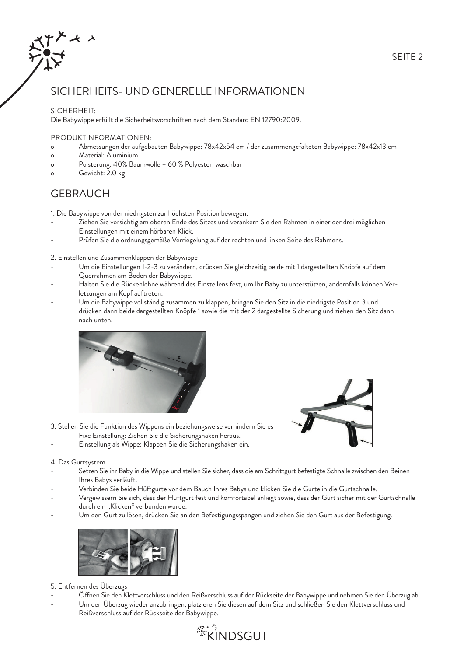# SICHERHEITS- UND GENERELLE INFORMATIONEN

## SICHERHEIT:

Die Babywippe erfüllt die Sicherheitsvorschriften nach dem Standard EN 12790:2009.

### PRODUKTINFORMATIONEN:

- o Abmessungen der aufgebauten Babywippe: 78x42x54 cm / der zusammengefalteten Babywippe: 78x42x13 cm
- o Material: Aluminium
- o Polsterung: 40% Baumwolle 60 % Polyester; waschbar
- o Gewicht: 2.0 kg

# **GEBRAUCH**

1. Die Babywippe von der niedrigsten zur höchsten Position bewegen.

- Ziehen Sie vorsichtig am oberen Ende des Sitzes und verankern Sie den Rahmen in einer der drei möglichen Einstellungen mit einem hörbaren Klick.
- Prüfen Sie die ordnungsgemäße Verriegelung auf der rechten und linken Seite des Rahmens.
- 2. Einstellen und Zusammenklappen der Babywippe
- Um die Einstellungen 1-2-3 zu verändern, drücken Sie gleichzeitig beide mit 1 dargestellten Knöpfe auf dem Querrahmen am Boden der Babywippe.
- Halten Sie die Rückenlehne während des Einstellens fest, um Ihr Baby zu unterstützen, andernfalls können Ver letzungen am Kopf auftreten.
- Um die Babywippe vollständig zusammen zu klappen, bringen Sie den Sitz in die niedrigste Position 3 und drücken dann beide dargestellten Knöpfe 1 sowie die mit der 2 dargestellte Sicherung und ziehen den Sitz dann nach unten.





- 3. Stellen Sie die Funktion des Wippens ein beziehungsweise verhindern Sie es
- Fixe Einstellung: Ziehen Sie die Sicherungshaken heraus.
- Einstellung als Wippe: Klappen Sie die Sicherungshaken ein.

### 4. Das Gurtsystem

- Setzen Sie ihr Baby in die Wippe und stellen Sie sicher, dass die am Schrittgurt befestigte Schnalle zwischen den Beinen Ihres Babys verläuft.
- Verbinden Sie beide Hüftgurte vor dem Bauch Ihres Babys und klicken Sie die Gurte in die Gurtschnalle.
- Vergewissern Sie sich, dass der Hüftgurt fest und komfortabel anliegt sowie, dass der Gurt sicher mit der Gurtschnalle durch ein "Klicken" verbunden wurde.
- Um den Gurt zu lösen, drücken Sie an den Befestigungsspangen und ziehen Sie den Gurt aus der Befestigung.



### 5. Entfernen des Überzugs

- Öffnen Sie den Klettverschluss und den Reißverschluss auf der Rückseite der Babywippe und nehmen Sie den Überzug ab.
- Um den Überzug wieder anzubringen, platzieren Sie diesen auf dem Sitz und schließen Sie den Klettverschluss und Reißverschluss auf der Rückseite der Babywippe.
	- *<u> Avenus</u>*<br> **KINDSGUT**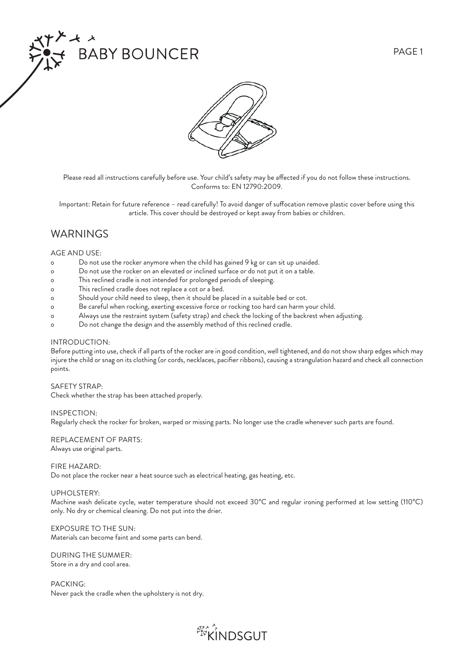



Please read all instructions carefully before use. Your child's safety may be affected if you do not follow these instructions. Conforms to: EN 12790:2009.

Important: Retain for future reference - read carefully! To avoid danger of suffocation remove plastic cover before using this article. This cover should be destroyed or kept away from babies or children.

# WARNINGS

### AGE AND USE:

- o Do not use the rocker anymore when the child has gained 9 kg or can sit up unaided.
- o Do not use the rocker on an elevated or inclined surface or do not put it on a table.
- o This reclined cradle is not intended for prolonged periods of sleeping.
- o This reclined cradle does not replace a cot or a bed.
- o Should your child need to sleep, then it should be placed in a suitable bed or cot.
- o Be careful when rocking, exerting excessive force or rocking too hard can harm your child.
- o Always use the restraint system (safety strap) and check the locking of the backrest when adjusting.
- o Do not change the design and the assembly method of this reclined cradle.

### INTRODUCTION:

Before putting into use, check if all parts of the rocker are in good condition, well tightened, and do not show sharp edges which may injure the child or snag on its clothing (or cords, necklaces, pacifier ribbons), causing a strangulation hazard and check all connection points.

### SAFETY STRAP:

Check whether the strap has been attached properly.

### INSPECTION:

Regularly check the rocker for broken, warped or missing parts. No longer use the cradle whenever such parts are found.

### REPLACEMENT OF PARTS: Always use original parts.

### FIRE HAZARD:

Do not place the rocker near a heat source such as electrical heating, gas heating, etc.

### UPHOLSTERY:

Machine wash delicate cycle, water temperature should not exceed 30°C and regular ironing performed at low setting (110°C) only. No dry or chemical cleaning. Do not put into the drier.

### EXPOSURE TO THE SUN: Materials can become faint and some parts can bend.

DURING THE SUMMER: Store in a dry and cool area.

PACKING: Never pack the cradle when the upholstery is not dry.

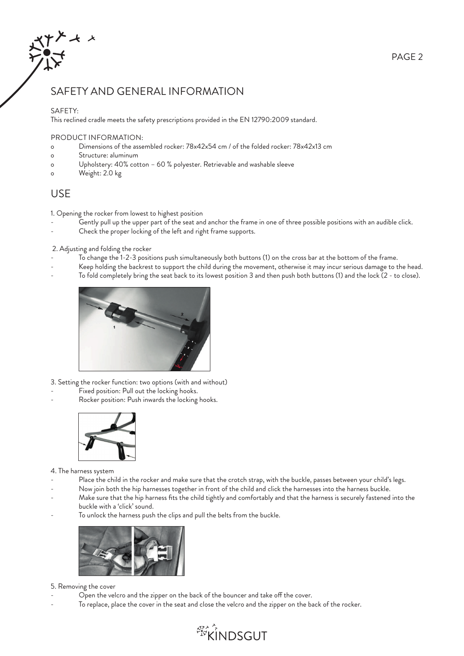

# SAFETY AND GENERAL INFORMATION

## SAFETY:

This reclined cradle meets the safety prescriptions provided in the EN 12790:2009 standard.

### PRODUCT INFORMATION:

- o Dimensions of the assembled rocker: 78x42x54 cm / of the folded rocker: 78x42x13 cm
- o Structure: aluminum
- o Upholstery: 40% cotton 60 % polyester. Retrievable and washable sleeve
- o Weight: 2.0 kg

# USE

1. Opening the rocker from lowest to highest position

- Gently pull up the upper part of the seat and anchor the frame in one of three possible positions with an audible click.
- Check the proper locking of the left and right frame supports.

2. Adjusting and folding the rocker

- To change the 1-2-3 positions push simultaneously both buttons (1) on the cross bar at the bottom of the frame.
- Keep holding the backrest to support the child during the movement, otherwise it may incur serious damage to the head.
- To fold completely bring the seat back to its lowest position 3 and then push both buttons (1) and the lock (2 to close).



3. Setting the rocker function: two options (with and without)

- Fixed position: Pull out the locking hooks.
- Rocker position: Push inwards the locking hooks.



4. The harness system

- Place the child in the rocker and make sure that the crotch strap, with the buckle, passes between your child's legs.
- Now join both the hip harnesses together in front of the child and click the harnesses into the harness buckle.
- Make sure that the hip harness fits the child tightly and comfortably and that the harness is securely fastened into the buckle with a 'click' sound.
- To unlock the harness push the clips and pull the belts from the buckle.



## 5. Removing the cover

- Open the velcro and the zipper on the back of the bouncer and take off the cover.
- To replace, place the cover in the seat and close the velcro and the zipper on the back of the rocker.



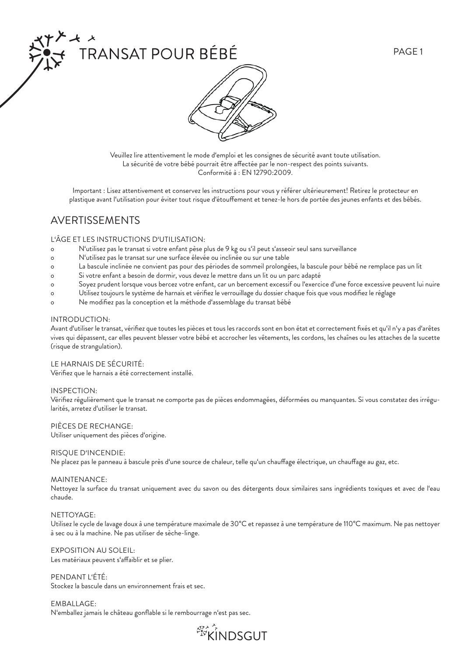





Veuillez lire attentivement le mode d'emploi et les consignes de sécurité avant toute utilisation. La sécurité de votre bébé pourrait être affectée par le non-respect des points suivants. Conformité à : EN 12790:2009.

Important : Lisez attentivement et conservez les instructions pour vous y référer ultérieurement! Retirez le protecteur en plastique avant l'utilisation pour éviter tout risque d'étouffement et tenez-le hors de portée des jeunes enfants et des bébés.

# AVERTISSEMENTS

### L'ÂGE ET LES INSTRUCTIONS D'UTILISATION:

- o N'utilisez pas le transat si votre enfant pèse plus de 9 kg ou s'il peut s'asseoir seul sans surveillance
- o N'utilisez pas le transat sur une surface élevée ou inclinée ou sur une table
- o La bascule inclinée ne convient pas pour des périodes de sommeil prolongées, la bascule pour bébé ne remplace pas un lit
- Si votre enfant a besoin de dormir, vous devez le mettre dans un lit ou un parc adapté
- o Soyez prudent lorsque vous bercez votre enfant, car un bercement excessif ou l'exercice d'une force excessive peuvent lui nuire
- o Utilisez toujours le système de harnais et vérifiez le verrouillage du dossier chaque fois que vous modifiez le réglage
- o Ne modifiez pas la conception et la méthode d'assemblage du transat bébé

### INTRODUCTION:

Avant d'utiliser le transat, vérifiez que toutes les pièces et tous les raccords sont en bon état et correctement fixés et qu'il n'y a pas d'arêtes vives qui dépassent, car elles peuvent blesser votre bébé et accrocher les vêtements, les cordons, les chaînes ou les attaches de la sucette (risque de strangulation).

### LE HARNAIS DE SÉCURITÉ:

Vérifiez que le harnais a été correctement installé.

### INSPECTION:

Vérifi ez régulièrement que le transat ne comporte pas de pièces endommagées, déformées ou manquantes. Si vous constatez des irrégularités, arretez d'utiliser le transat.

PIÈCES DE RECHANGE:

Utiliser uniquement des pièces d'origine.

### RISQUE D'INCENDIE:

Ne placez pas le panneau à bascule près d'une source de chaleur, telle qu'un chauffage électrique, un chauffage au gaz, etc.

### MAINTENANCE:

Nettoyez la surface du transat uniquement avec du savon ou des détergents doux similaires sans ingrédients toxiques et avec de l'eau chaude.

### NETTOYAGE:

Utilisez le cycle de lavage doux à une température maximale de 30°C et repassez à une température de 110°C maximum. Ne pas nettoyer à sec ou à la machine. Ne pas utiliser de sèche-linge.

EXPOSITION AU SOLEIL: Les matériaux peuvent s'affaiblir et se plier.

PENDANT L'ÉTÉ: Stockez la bascule dans un environnement frais et sec.

EMBALLAGE: N'emballez jamais le château gonflable si le rembourrage n'est pas sec.